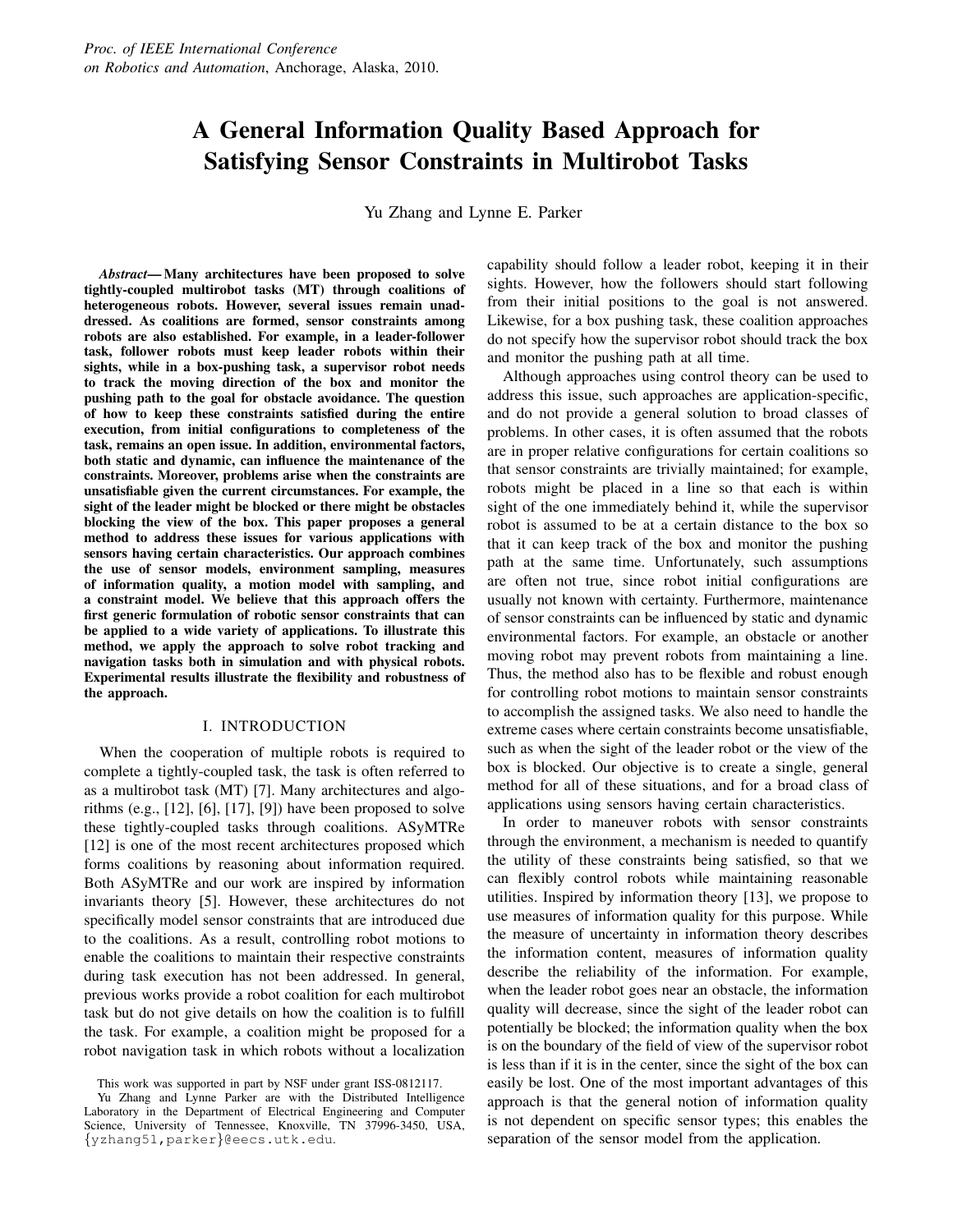# A General Information Quality Based Approach for Satisfying Sensor Constraints in Multirobot Tasks

Yu Zhang and Lynne E. Parker

*Abstract*— Many architectures have been proposed to solve tightly-coupled multirobot tasks (MT) through coalitions of heterogeneous robots. However, several issues remain unaddressed. As coalitions are formed, sensor constraints among robots are also established. For example, in a leader-follower task, follower robots must keep leader robots within their sights, while in a box-pushing task, a supervisor robot needs to track the moving direction of the box and monitor the pushing path to the goal for obstacle avoidance. The question of how to keep these constraints satisfied during the entire execution, from initial configurations to completeness of the task, remains an open issue. In addition, environmental factors, both static and dynamic, can influence the maintenance of the constraints. Moreover, problems arise when the constraints are unsatisfiable given the current circumstances. For example, the sight of the leader might be blocked or there might be obstacles blocking the view of the box. This paper proposes a general method to address these issues for various applications with sensors having certain characteristics. Our approach combines the use of sensor models, environment sampling, measures of information quality, a motion model with sampling, and a constraint model. We believe that this approach offers the first generic formulation of robotic sensor constraints that can be applied to a wide variety of applications. To illustrate this method, we apply the approach to solve robot tracking and navigation tasks both in simulation and with physical robots. Experimental results illustrate the flexibility and robustness of the approach.

#### I. INTRODUCTION

When the cooperation of multiple robots is required to complete a tightly-coupled task, the task is often referred to as a multirobot task (MT) [7]. Many architectures and algorithms (e.g., [12], [6], [17], [9]) have been proposed to solve these tightly-coupled tasks through coalitions. ASyMTRe [12] is one of the most recent architectures proposed which forms coalitions by reasoning about information required. Both ASyMTRe and our work are inspired by information invariants theory [5]. However, these architectures do not specifically model sensor constraints that are introduced due to the coalitions. As a result, controlling robot motions to enable the coalitions to maintain their respective constraints during task execution has not been addressed. In general, previous works provide a robot coalition for each multirobot task but do not give details on how the coalition is to fulfill the task. For example, a coalition might be proposed for a robot navigation task in which robots without a localization

capability should follow a leader robot, keeping it in their sights. However, how the followers should start following from their initial positions to the goal is not answered. Likewise, for a box pushing task, these coalition approaches do not specify how the supervisor robot should track the box and monitor the pushing path at all time.

Although approaches using control theory can be used to address this issue, such approaches are application-specific, and do not provide a general solution to broad classes of problems. In other cases, it is often assumed that the robots are in proper relative configurations for certain coalitions so that sensor constraints are trivially maintained; for example, robots might be placed in a line so that each is within sight of the one immediately behind it, while the supervisor robot is assumed to be at a certain distance to the box so that it can keep track of the box and monitor the pushing path at the same time. Unfortunately, such assumptions are often not true, since robot initial configurations are usually not known with certainty. Furthermore, maintenance of sensor constraints can be influenced by static and dynamic environmental factors. For example, an obstacle or another moving robot may prevent robots from maintaining a line. Thus, the method also has to be flexible and robust enough for controlling robot motions to maintain sensor constraints to accomplish the assigned tasks. We also need to handle the extreme cases where certain constraints become unsatisfiable, such as when the sight of the leader robot or the view of the box is blocked. Our objective is to create a single, general method for all of these situations, and for a broad class of applications using sensors having certain characteristics.

In order to maneuver robots with sensor constraints through the environment, a mechanism is needed to quantify the utility of these constraints being satisfied, so that we can flexibly control robots while maintaining reasonable utilities. Inspired by information theory [13], we propose to use measures of information quality for this purpose. While the measure of uncertainty in information theory describes the information content, measures of information quality describe the reliability of the information. For example, when the leader robot goes near an obstacle, the information quality will decrease, since the sight of the leader robot can potentially be blocked; the information quality when the box is on the boundary of the field of view of the supervisor robot is less than if it is in the center, since the sight of the box can easily be lost. One of the most important advantages of this approach is that the general notion of information quality is not dependent on specific sensor types; this enables the separation of the sensor model from the application.

This work was supported in part by NSF under grant ISS-0812117.

Yu Zhang and Lynne Parker are with the Distributed Intelligence Laboratory in the Department of Electrical Engineering and Computer Science, University of Tennessee, Knoxville, TN 37996-3450, USA, {yzhang51,parker}@eecs.utk.edu.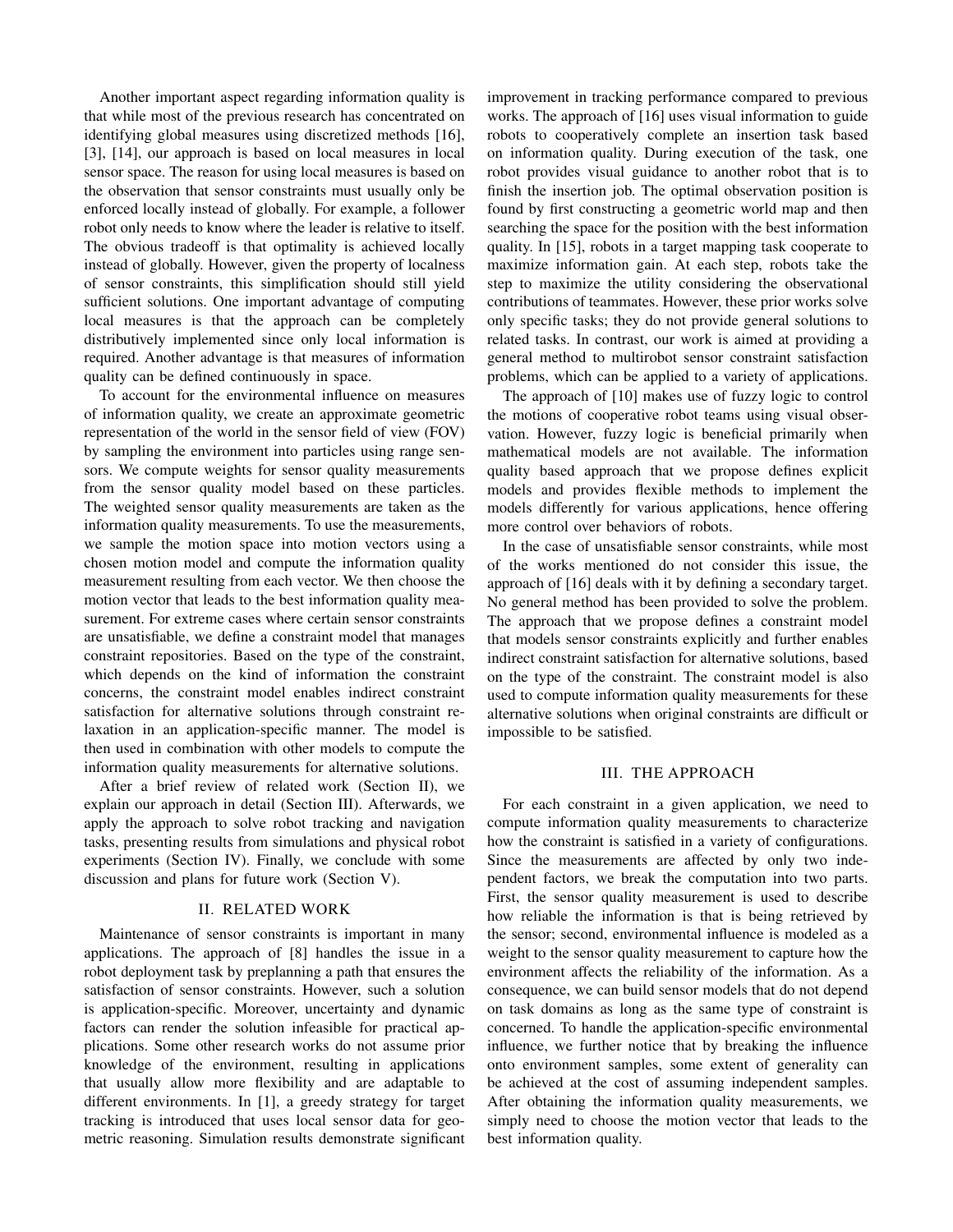Another important aspect regarding information quality is that while most of the previous research has concentrated on identifying global measures using discretized methods [16], [3], [14], our approach is based on local measures in local sensor space. The reason for using local measures is based on the observation that sensor constraints must usually only be enforced locally instead of globally. For example, a follower robot only needs to know where the leader is relative to itself. The obvious tradeoff is that optimality is achieved locally instead of globally. However, given the property of localness of sensor constraints, this simplification should still yield sufficient solutions. One important advantage of computing local measures is that the approach can be completely distributively implemented since only local information is required. Another advantage is that measures of information quality can be defined continuously in space.

To account for the environmental influence on measures of information quality, we create an approximate geometric representation of the world in the sensor field of view (FOV) by sampling the environment into particles using range sensors. We compute weights for sensor quality measurements from the sensor quality model based on these particles. The weighted sensor quality measurements are taken as the information quality measurements. To use the measurements, we sample the motion space into motion vectors using a chosen motion model and compute the information quality measurement resulting from each vector. We then choose the motion vector that leads to the best information quality measurement. For extreme cases where certain sensor constraints are unsatisfiable, we define a constraint model that manages constraint repositories. Based on the type of the constraint, which depends on the kind of information the constraint concerns, the constraint model enables indirect constraint satisfaction for alternative solutions through constraint relaxation in an application-specific manner. The model is then used in combination with other models to compute the information quality measurements for alternative solutions.

After a brief review of related work (Section II), we explain our approach in detail (Section III). Afterwards, we apply the approach to solve robot tracking and navigation tasks, presenting results from simulations and physical robot experiments (Section IV). Finally, we conclude with some discussion and plans for future work (Section V).

# II. RELATED WORK

Maintenance of sensor constraints is important in many applications. The approach of [8] handles the issue in a robot deployment task by preplanning a path that ensures the satisfaction of sensor constraints. However, such a solution is application-specific. Moreover, uncertainty and dynamic factors can render the solution infeasible for practical applications. Some other research works do not assume prior knowledge of the environment, resulting in applications that usually allow more flexibility and are adaptable to different environments. In [1], a greedy strategy for target tracking is introduced that uses local sensor data for geometric reasoning. Simulation results demonstrate significant

improvement in tracking performance compared to previous works. The approach of [16] uses visual information to guide robots to cooperatively complete an insertion task based on information quality. During execution of the task, one robot provides visual guidance to another robot that is to finish the insertion job. The optimal observation position is found by first constructing a geometric world map and then searching the space for the position with the best information quality. In [15], robots in a target mapping task cooperate to maximize information gain. At each step, robots take the step to maximize the utility considering the observational contributions of teammates. However, these prior works solve only specific tasks; they do not provide general solutions to related tasks. In contrast, our work is aimed at providing a general method to multirobot sensor constraint satisfaction problems, which can be applied to a variety of applications.

The approach of [10] makes use of fuzzy logic to control the motions of cooperative robot teams using visual observation. However, fuzzy logic is beneficial primarily when mathematical models are not available. The information quality based approach that we propose defines explicit models and provides flexible methods to implement the models differently for various applications, hence offering more control over behaviors of robots.

In the case of unsatisfiable sensor constraints, while most of the works mentioned do not consider this issue, the approach of [16] deals with it by defining a secondary target. No general method has been provided to solve the problem. The approach that we propose defines a constraint model that models sensor constraints explicitly and further enables indirect constraint satisfaction for alternative solutions, based on the type of the constraint. The constraint model is also used to compute information quality measurements for these alternative solutions when original constraints are difficult or impossible to be satisfied.

## III. THE APPROACH

For each constraint in a given application, we need to compute information quality measurements to characterize how the constraint is satisfied in a variety of configurations. Since the measurements are affected by only two independent factors, we break the computation into two parts. First, the sensor quality measurement is used to describe how reliable the information is that is being retrieved by the sensor; second, environmental influence is modeled as a weight to the sensor quality measurement to capture how the environment affects the reliability of the information. As a consequence, we can build sensor models that do not depend on task domains as long as the same type of constraint is concerned. To handle the application-specific environmental influence, we further notice that by breaking the influence onto environment samples, some extent of generality can be achieved at the cost of assuming independent samples. After obtaining the information quality measurements, we simply need to choose the motion vector that leads to the best information quality.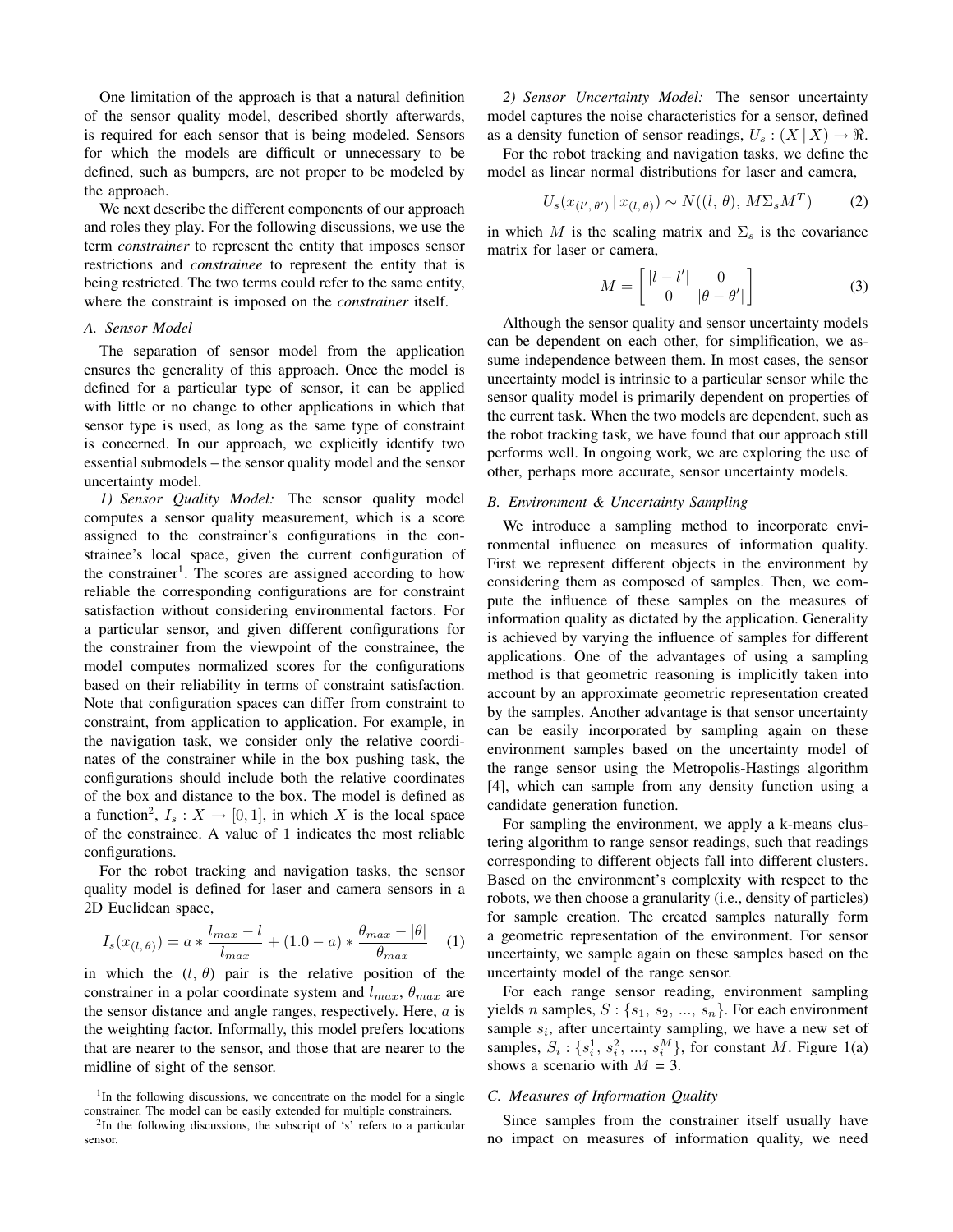One limitation of the approach is that a natural definition of the sensor quality model, described shortly afterwards, is required for each sensor that is being modeled. Sensors for which the models are difficult or unnecessary to be defined, such as bumpers, are not proper to be modeled by the approach.

We next describe the different components of our approach and roles they play. For the following discussions, we use the term *constrainer* to represent the entity that imposes sensor restrictions and *constrainee* to represent the entity that is being restricted. The two terms could refer to the same entity, where the constraint is imposed on the *constrainer* itself.

## *A. Sensor Model*

The separation of sensor model from the application ensures the generality of this approach. Once the model is defined for a particular type of sensor, it can be applied with little or no change to other applications in which that sensor type is used, as long as the same type of constraint is concerned. In our approach, we explicitly identify two essential submodels – the sensor quality model and the sensor uncertainty model.

*1) Sensor Quality Model:* The sensor quality model computes a sensor quality measurement, which is a score assigned to the constrainer's configurations in the constrainee's local space, given the current configuration of the constrainer<sup>1</sup>. The scores are assigned according to how reliable the corresponding configurations are for constraint satisfaction without considering environmental factors. For a particular sensor, and given different configurations for the constrainer from the viewpoint of the constrainee, the model computes normalized scores for the configurations based on their reliability in terms of constraint satisfaction. Note that configuration spaces can differ from constraint to constraint, from application to application. For example, in the navigation task, we consider only the relative coordinates of the constrainer while in the box pushing task, the configurations should include both the relative coordinates of the box and distance to the box. The model is defined as a function<sup>2</sup>,  $I_s: X \to [0,1]$ , in which X is the local space of the constrainee. A value of 1 indicates the most reliable configurations.

For the robot tracking and navigation tasks, the sensor quality model is defined for laser and camera sensors in a 2D Euclidean space,

$$
I_s(x_{(l,\theta)}) = a * \frac{l_{max} - l}{l_{max}} + (1.0 - a) * \frac{\theta_{max} - |\theta|}{\theta_{max}} \quad (1)
$$

in which the  $(l, \theta)$  pair is the relative position of the constrainer in a polar coordinate system and  $l_{max}$ ,  $\theta_{max}$  are the sensor distance and angle ranges, respectively. Here,  $a$  is the weighting factor. Informally, this model prefers locations that are nearer to the sensor, and those that are nearer to the midline of sight of the sensor.

*2) Sensor Uncertainty Model:* The sensor uncertainty model captures the noise characteristics for a sensor, defined as a density function of sensor readings,  $U_s$ :  $(X | X) \rightarrow \Re$ .

For the robot tracking and navigation tasks, we define the model as linear normal distributions for laser and camera,

$$
U_s(x_{(l',\theta')} | x_{(l,\theta)}) \sim N((l,\theta), M\Sigma_s M^T)
$$
 (2)

in which M is the scaling matrix and  $\Sigma_s$  is the covariance matrix for laser or camera,

$$
M = \begin{bmatrix} |l - l'| & 0 \\ 0 & |\theta - \theta'| \end{bmatrix}
$$
 (3)

Although the sensor quality and sensor uncertainty models can be dependent on each other, for simplification, we assume independence between them. In most cases, the sensor uncertainty model is intrinsic to a particular sensor while the sensor quality model is primarily dependent on properties of the current task. When the two models are dependent, such as the robot tracking task, we have found that our approach still performs well. In ongoing work, we are exploring the use of other, perhaps more accurate, sensor uncertainty models.

### *B. Environment & Uncertainty Sampling*

We introduce a sampling method to incorporate environmental influence on measures of information quality. First we represent different objects in the environment by considering them as composed of samples. Then, we compute the influence of these samples on the measures of information quality as dictated by the application. Generality is achieved by varying the influence of samples for different applications. One of the advantages of using a sampling method is that geometric reasoning is implicitly taken into account by an approximate geometric representation created by the samples. Another advantage is that sensor uncertainty can be easily incorporated by sampling again on these environment samples based on the uncertainty model of the range sensor using the Metropolis-Hastings algorithm [4], which can sample from any density function using a candidate generation function.

For sampling the environment, we apply a k-means clustering algorithm to range sensor readings, such that readings corresponding to different objects fall into different clusters. Based on the environment's complexity with respect to the robots, we then choose a granularity (i.e., density of particles) for sample creation. The created samples naturally form a geometric representation of the environment. For sensor uncertainty, we sample again on these samples based on the uncertainty model of the range sensor.

For each range sensor reading, environment sampling yields *n* samples,  $S: \{s_1, s_2, ..., s_n\}$ . For each environment sample  $s_i$ , after uncertainty sampling, we have a new set of samples,  $S_i$ :  $\{s_i^1, s_i^2, ..., s_i^M\}$ , for constant M. Figure 1(a) shows a scenario with  $M = 3$ .

## *C. Measures of Information Quality*

Since samples from the constrainer itself usually have no impact on measures of information quality, we need

<sup>&</sup>lt;sup>1</sup>In the following discussions, we concentrate on the model for a single constrainer. The model can be easily extended for multiple constrainers.

<sup>&</sup>lt;sup>2</sup>In the following discussions, the subscript of 's' refers to a particular sensor.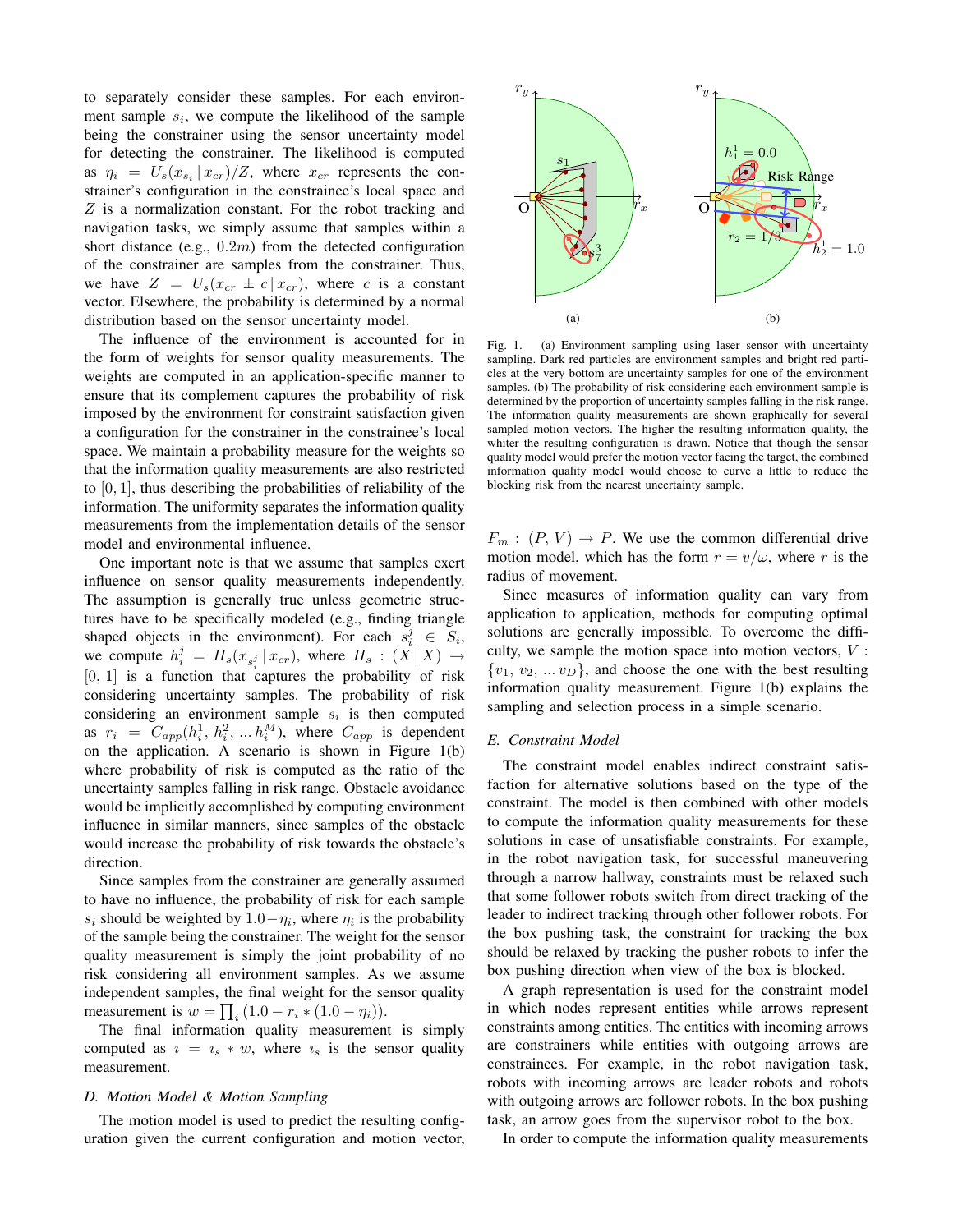to separately consider these samples. For each environment sample  $s_i$ , we compute the likelihood of the sample being the constrainer using the sensor uncertainty model for detecting the constrainer. The likelihood is computed as  $\eta_i = U_s(x_{s_i} | x_{cr})/Z$ , where  $x_{cr}$  represents the constrainer's configuration in the constrainee's local space and Z is a normalization constant. For the robot tracking and navigation tasks, we simply assume that samples within a short distance (e.g.,  $0.2m$ ) from the detected configuration of the constrainer are samples from the constrainer. Thus, we have  $Z = U_s(x_{cr} \pm c | x_{cr})$ , where c is a constant vector. Elsewhere, the probability is determined by a normal distribution based on the sensor uncertainty model.

The influence of the environment is accounted for in the form of weights for sensor quality measurements. The weights are computed in an application-specific manner to ensure that its complement captures the probability of risk imposed by the environment for constraint satisfaction given a configuration for the constrainer in the constrainee's local space. We maintain a probability measure for the weights so that the information quality measurements are also restricted to  $[0, 1]$ , thus describing the probabilities of reliability of the information. The uniformity separates the information quality measurements from the implementation details of the sensor model and environmental influence.

One important note is that we assume that samples exert influence on sensor quality measurements independently. The assumption is generally true unless geometric structures have to be specifically modeled (e.g., finding triangle shaped objects in the environment). For each  $s_i^j \in S_i$ , we compute  $h_i^j = H_s(x_{s_i^j} | x_{cr})$ , where  $H_s : (X | X) \rightarrow$  $[0, 1]$  is a function that captures the probability of risk considering uncertainty samples. The probability of risk considering an environment sample  $s_i$  is then computed as  $r_i = C_{app}(h_i^1, h_i^2, \dots h_i^M)$ , where  $C_{app}$  is dependent on the application. A scenario is shown in Figure 1(b) where probability of risk is computed as the ratio of the uncertainty samples falling in risk range. Obstacle avoidance would be implicitly accomplished by computing environment influence in similar manners, since samples of the obstacle would increase the probability of risk towards the obstacle's direction.

Since samples from the constrainer are generally assumed to have no influence, the probability of risk for each sample  $s_i$  should be weighted by 1.0− $\eta_i$ , where  $\eta_i$  is the probability of the sample being the constrainer. The weight for the sensor quality measurement is simply the joint probability of no risk considering all environment samples. As we assume independent samples, the final weight for the sensor quality measurement is  $w = \prod_i (1.0 - r_i * (1.0 - \eta_i)).$ 

The final information quality measurement is simply computed as  $i = i_s * w$ , where  $i_s$  is the sensor quality measurement.

## *D. Motion Model & Motion Sampling*

The motion model is used to predict the resulting configuration given the current configuration and motion vector,



Fig. 1. (a) Environment sampling using laser sensor with uncertainty sampling. Dark red particles are environment samples and bright red particles at the very bottom are uncertainty samples for one of the environment samples. (b) The probability of risk considering each environment sample is determined by the proportion of uncertainty samples falling in the risk range. The information quality measurements are shown graphically for several sampled motion vectors. The higher the resulting information quality, the whiter the resulting configuration is drawn. Notice that though the sensor quality model would prefer the motion vector facing the target, the combined information quality model would choose to curve a little to reduce the blocking risk from the nearest uncertainty sample.

 $F_m : (P, V) \to P$ . We use the common differential drive motion model, which has the form  $r = v/\omega$ , where r is the radius of movement.

Since measures of information quality can vary from application to application, methods for computing optimal solutions are generally impossible. To overcome the difficulty, we sample the motion space into motion vectors,  $V$ :  $\{v_1, v_2, ..., v_D\}$ , and choose the one with the best resulting information quality measurement. Figure 1(b) explains the sampling and selection process in a simple scenario.

## *E. Constraint Model*

The constraint model enables indirect constraint satisfaction for alternative solutions based on the type of the constraint. The model is then combined with other models to compute the information quality measurements for these solutions in case of unsatisfiable constraints. For example, in the robot navigation task, for successful maneuvering through a narrow hallway, constraints must be relaxed such that some follower robots switch from direct tracking of the leader to indirect tracking through other follower robots. For the box pushing task, the constraint for tracking the box should be relaxed by tracking the pusher robots to infer the box pushing direction when view of the box is blocked.

A graph representation is used for the constraint model in which nodes represent entities while arrows represent constraints among entities. The entities with incoming arrows are constrainers while entities with outgoing arrows are constrainees. For example, in the robot navigation task, robots with incoming arrows are leader robots and robots with outgoing arrows are follower robots. In the box pushing task, an arrow goes from the supervisor robot to the box.

In order to compute the information quality measurements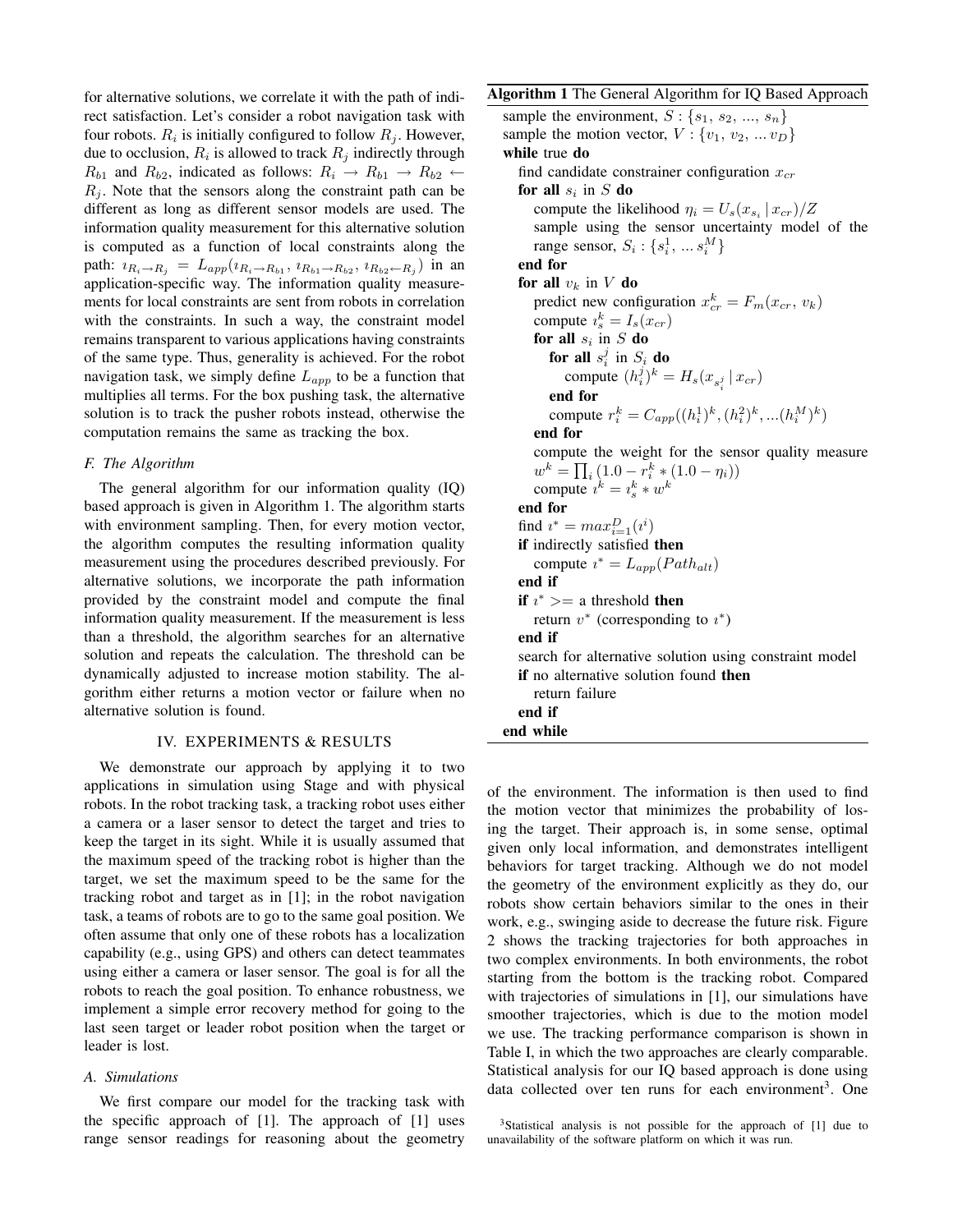for alternative solutions, we correlate it with the path of indirect satisfaction. Let's consider a robot navigation task with four robots.  $R_i$  is initially configured to follow  $R_j$ . However, due to occlusion,  $R_i$  is allowed to track  $R_j$  indirectly through  $R_{b1}$  and  $R_{b2}$ , indicated as follows:  $R_i \rightarrow R_{b1} \rightarrow R_{b2} \leftarrow$  $R_i$ . Note that the sensors along the constraint path can be different as long as different sensor models are used. The information quality measurement for this alternative solution is computed as a function of local constraints along the path:  $\imath_{R_i \to R_j} = L_{app}(\imath_{R_i \to R_{b1}}, \imath_{R_{b1} \to R_{b2}}, \imath_{R_{b2} \leftarrow R_j})$  in an application-specific way. The information quality measurements for local constraints are sent from robots in correlation with the constraints. In such a way, the constraint model remains transparent to various applications having constraints of the same type. Thus, generality is achieved. For the robot navigation task, we simply define  $L_{app}$  to be a function that multiplies all terms. For the box pushing task, the alternative solution is to track the pusher robots instead, otherwise the computation remains the same as tracking the box.

## *F. The Algorithm*

The general algorithm for our information quality (IQ) based approach is given in Algorithm 1. The algorithm starts with environment sampling. Then, for every motion vector, the algorithm computes the resulting information quality measurement using the procedures described previously. For alternative solutions, we incorporate the path information provided by the constraint model and compute the final information quality measurement. If the measurement is less than a threshold, the algorithm searches for an alternative solution and repeats the calculation. The threshold can be dynamically adjusted to increase motion stability. The algorithm either returns a motion vector or failure when no alternative solution is found.

## IV. EXPERIMENTS & RESULTS

We demonstrate our approach by applying it to two applications in simulation using Stage and with physical robots. In the robot tracking task, a tracking robot uses either a camera or a laser sensor to detect the target and tries to keep the target in its sight. While it is usually assumed that the maximum speed of the tracking robot is higher than the target, we set the maximum speed to be the same for the tracking robot and target as in [1]; in the robot navigation task, a teams of robots are to go to the same goal position. We often assume that only one of these robots has a localization capability (e.g., using GPS) and others can detect teammates using either a camera or laser sensor. The goal is for all the robots to reach the goal position. To enhance robustness, we implement a simple error recovery method for going to the last seen target or leader robot position when the target or leader is lost.

## *A. Simulations*

We first compare our model for the tracking task with the specific approach of [1]. The approach of [1] uses range sensor readings for reasoning about the geometry

## Algorithm 1 The General Algorithm for IQ Based Approach

sample the environment,  $S$  :  $\{s_1, s_2, ..., s_n\}$ sample the motion vector,  $V: \{v_1, v_2, \dots v_D\}$ while true do find candidate constrainer configuration  $x_{cr}$ for all  $s_i$  in  $S$  do compute the likelihood  $\eta_i = U_s(x_{s_i} | x_{cr})/Z$ sample using the sensor uncertainty model of the range sensor,  $S_i$ :  $\{s_i^1, ..., s_i^M\}$ end for for all  $v_k$  in  $V$  do predict new configuration  $x_{cr}^k = F_m(x_{cr}, v_k)$ compute  $i_s^k = I_s(x_{cr})$ for all  $s_i$  in  $S$  do for all  $s_i^j$  in  $S_i$  do compute  $(h_i^j)^k = H_s(x_{s_i^j} | x_{cr})$ end for compute  $r_i^k = C_{app}((h_i^1)^k, (h_i^2)^k, ... (h_i^M)^k)$ end for compute the weight for the sensor quality measure  $w^k = \prod_i (1.0 - r_i^k * (1.0 - \eta_i))$ compute  $i^k = i_s^k * w^k$ end for find  $i^* = max_{i=1}^D(i)$ if indirectly satisfied then compute  $i^* = L_{app}(Path_{alt})$ end if if  $i^* >= a$  threshold then return  $v^*$  (corresponding to  $i^*$ ) end if search for alternative solution using constraint model if no alternative solution found then return failure end if end while

of the environment. The information is then used to find the motion vector that minimizes the probability of losing the target. Their approach is, in some sense, optimal given only local information, and demonstrates intelligent behaviors for target tracking. Although we do not model the geometry of the environment explicitly as they do, our robots show certain behaviors similar to the ones in their work, e.g., swinging aside to decrease the future risk. Figure 2 shows the tracking trajectories for both approaches in two complex environments. In both environments, the robot starting from the bottom is the tracking robot. Compared with trajectories of simulations in [1], our simulations have smoother trajectories, which is due to the motion model we use. The tracking performance comparison is shown in Table I, in which the two approaches are clearly comparable. Statistical analysis for our IQ based approach is done using data collected over ten runs for each environment<sup>3</sup>. One

<sup>3</sup>Statistical analysis is not possible for the approach of [1] due to unavailability of the software platform on which it was run.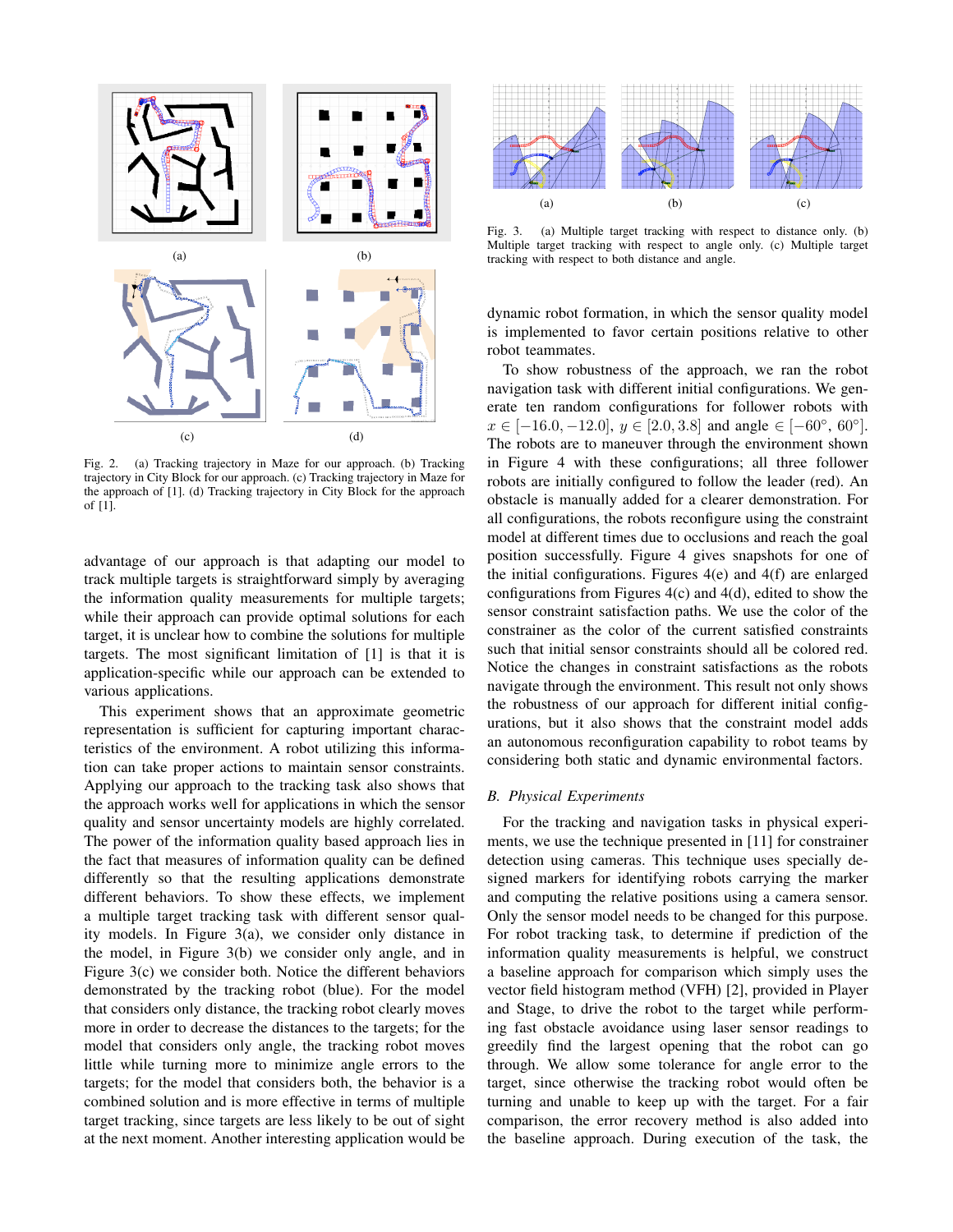

Fig. 2. (a) Tracking trajectory in Maze for our approach. (b) Tracking trajectory in City Block for our approach. (c) Tracking trajectory in Maze for the approach of [1]. (d) Tracking trajectory in City Block for the approach of [1].

advantage of our approach is that adapting our model to track multiple targets is straightforward simply by averaging the information quality measurements for multiple targets; while their approach can provide optimal solutions for each target, it is unclear how to combine the solutions for multiple targets. The most significant limitation of [1] is that it is application-specific while our approach can be extended to various applications.

This experiment shows that an approximate geometric representation is sufficient for capturing important characteristics of the environment. A robot utilizing this information can take proper actions to maintain sensor constraints. Applying our approach to the tracking task also shows that the approach works well for applications in which the sensor quality and sensor uncertainty models are highly correlated. The power of the information quality based approach lies in the fact that measures of information quality can be defined differently so that the resulting applications demonstrate different behaviors. To show these effects, we implement a multiple target tracking task with different sensor quality models. In Figure 3(a), we consider only distance in the model, in Figure 3(b) we consider only angle, and in Figure 3(c) we consider both. Notice the different behaviors demonstrated by the tracking robot (blue). For the model that considers only distance, the tracking robot clearly moves more in order to decrease the distances to the targets; for the model that considers only angle, the tracking robot moves little while turning more to minimize angle errors to the targets; for the model that considers both, the behavior is a combined solution and is more effective in terms of multiple target tracking, since targets are less likely to be out of sight at the next moment. Another interesting application would be



Fig. 3. (a) Multiple target tracking with respect to distance only. (b) Multiple target tracking with respect to angle only. (c) Multiple target tracking with respect to both distance and angle.

dynamic robot formation, in which the sensor quality model is implemented to favor certain positions relative to other robot teammates.

To show robustness of the approach, we ran the robot navigation task with different initial configurations. We generate ten random configurations for follower robots with  $x \in [-16.0, -12.0], y \in [2.0, 3.8]$  and angle  $\in [-60^{\circ}, 60^{\circ}]$ . The robots are to maneuver through the environment shown in Figure 4 with these configurations; all three follower robots are initially configured to follow the leader (red). An obstacle is manually added for a clearer demonstration. For all configurations, the robots reconfigure using the constraint model at different times due to occlusions and reach the goal position successfully. Figure 4 gives snapshots for one of the initial configurations. Figures 4(e) and 4(f) are enlarged configurations from Figures 4(c) and 4(d), edited to show the sensor constraint satisfaction paths. We use the color of the constrainer as the color of the current satisfied constraints such that initial sensor constraints should all be colored red. Notice the changes in constraint satisfactions as the robots navigate through the environment. This result not only shows the robustness of our approach for different initial configurations, but it also shows that the constraint model adds an autonomous reconfiguration capability to robot teams by considering both static and dynamic environmental factors.

## *B. Physical Experiments*

For the tracking and navigation tasks in physical experiments, we use the technique presented in [11] for constrainer detection using cameras. This technique uses specially designed markers for identifying robots carrying the marker and computing the relative positions using a camera sensor. Only the sensor model needs to be changed for this purpose. For robot tracking task, to determine if prediction of the information quality measurements is helpful, we construct a baseline approach for comparison which simply uses the vector field histogram method (VFH) [2], provided in Player and Stage, to drive the robot to the target while performing fast obstacle avoidance using laser sensor readings to greedily find the largest opening that the robot can go through. We allow some tolerance for angle error to the target, since otherwise the tracking robot would often be turning and unable to keep up with the target. For a fair comparison, the error recovery method is also added into the baseline approach. During execution of the task, the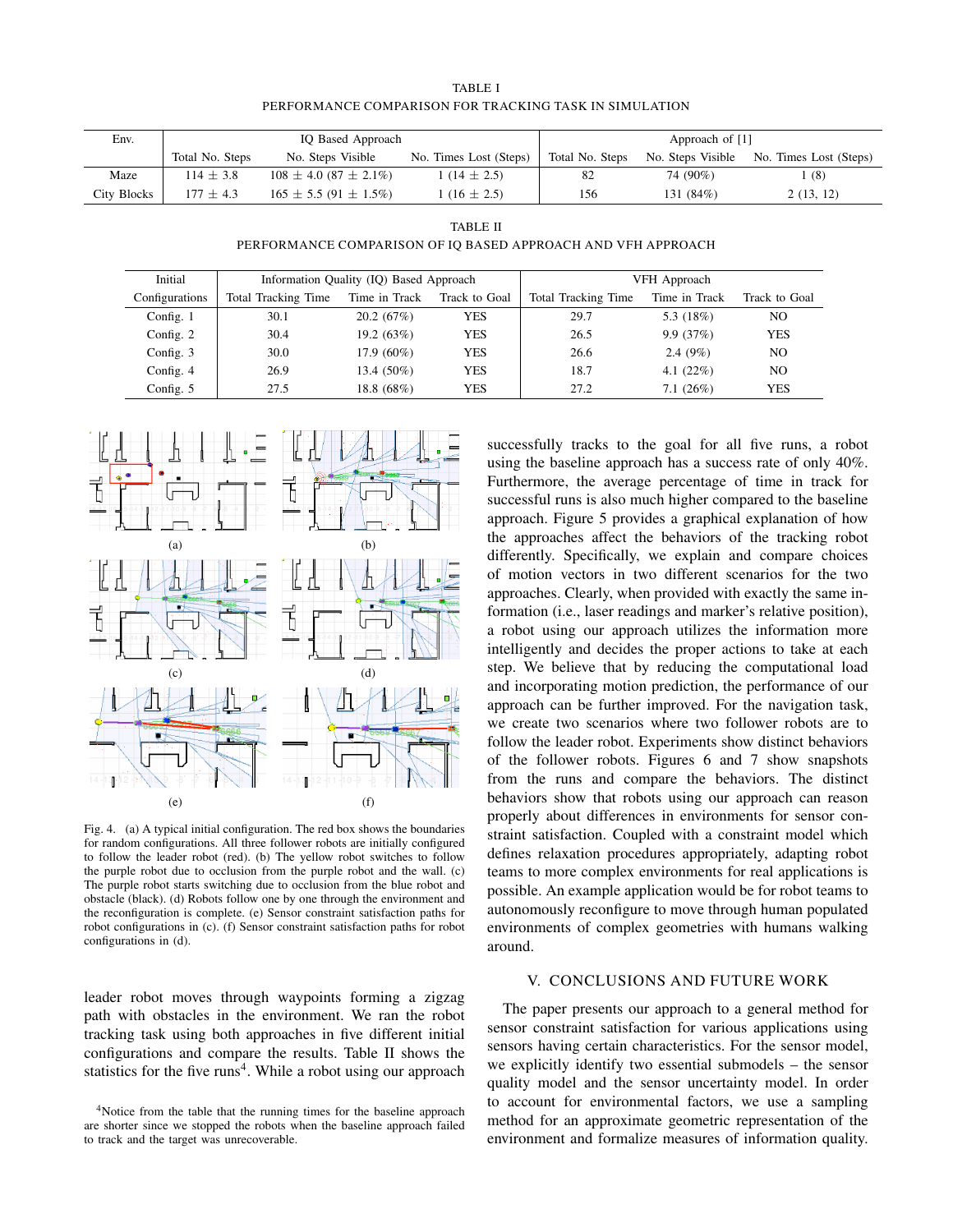| TABLE I                                                |  |  |  |  |  |  |  |
|--------------------------------------------------------|--|--|--|--|--|--|--|
| PERFORMANCE COMPARISON FOR TRACKING TASK IN SIMULATION |  |  |  |  |  |  |  |

| Env.        | IQ Based Approach |                               |                        | Approach of [1] |           |                                          |
|-------------|-------------------|-------------------------------|------------------------|-----------------|-----------|------------------------------------------|
|             | Total No. Steps   | No. Steps Visible             | No. Times Lost (Steps) | Total No. Steps |           | No. Steps Visible No. Times Lost (Steps) |
| Maze        | $114 \pm 3.8$     | $108 \pm 4.0$ (87 $\pm$ 2.1%) | $1(14 \pm 2.5)$        | 82              | 74 (90%)  | (8)                                      |
| City Blocks | $177 + 4.3$       | $165 \pm 5.5$ (91 $\pm$ 1.5%) | $1(16 \pm 2.5)$        | 156             | 131 (84%) | 2(13, 12)                                |

TABLE II PERFORMANCE COMPARISON OF IQ BASED APPROACH AND VFH APPROACH

| Initial        | Information Quality (IQ) Based Approach |               |               | VFH Approach        |               |               |
|----------------|-----------------------------------------|---------------|---------------|---------------------|---------------|---------------|
| Configurations | Total Tracking Time                     | Time in Track | Track to Goal | Total Tracking Time | Time in Track | Track to Goal |
| Config. 1      | 30.1                                    | 20.2(67%)     | <b>YES</b>    | 29.7                | 5.3 $(18%)$   | NO            |
| Config. $2$    | 30.4                                    | 19.2(63%)     | <b>YES</b>    | 26.5                | 9.9(37%)      | <b>YES</b>    |
| Config. $3$    | 30.0                                    | $17.9(60\%)$  | <b>YES</b>    | 26.6                | $2.4(9\%)$    | NO            |
| Config. 4      | 26.9                                    | 13.4 (50%)    | <b>YES</b>    | 18.7                | 4.1 $(22%)$   | NO.           |
| Config. 5      | 27.5                                    | 18.8 (68%)    | <b>YES</b>    | 27.2                | 7.1(26%)      | <b>YES</b>    |



Fig. 4. (a) A typical initial configuration. The red box shows the boundaries for random configurations. All three follower robots are initially configured to follow the leader robot (red). (b) The yellow robot switches to follow the purple robot due to occlusion from the purple robot and the wall. (c) The purple robot starts switching due to occlusion from the blue robot and obstacle (black). (d) Robots follow one by one through the environment and the reconfiguration is complete. (e) Sensor constraint satisfaction paths for robot configurations in (c). (f) Sensor constraint satisfaction paths for robot configurations in (d).

leader robot moves through waypoints forming a zigzag path with obstacles in the environment. We ran the robot tracking task using both approaches in five different initial configurations and compare the results. Table II shows the statistics for the five runs<sup>4</sup>. While a robot using our approach

successfully tracks to the goal for all five runs, a robot using the baseline approach has a success rate of only 40%. Furthermore, the average percentage of time in track for successful runs is also much higher compared to the baseline approach. Figure 5 provides a graphical explanation of how the approaches affect the behaviors of the tracking robot differently. Specifically, we explain and compare choices of motion vectors in two different scenarios for the two approaches. Clearly, when provided with exactly the same information (i.e., laser readings and marker's relative position), a robot using our approach utilizes the information more intelligently and decides the proper actions to take at each step. We believe that by reducing the computational load and incorporating motion prediction, the performance of our approach can be further improved. For the navigation task, we create two scenarios where two follower robots are to follow the leader robot. Experiments show distinct behaviors of the follower robots. Figures 6 and 7 show snapshots from the runs and compare the behaviors. The distinct behaviors show that robots using our approach can reason properly about differences in environments for sensor constraint satisfaction. Coupled with a constraint model which defines relaxation procedures appropriately, adapting robot teams to more complex environments for real applications is possible. An example application would be for robot teams to autonomously reconfigure to move through human populated environments of complex geometries with humans walking around.

## V. CONCLUSIONS AND FUTURE WORK

The paper presents our approach to a general method for sensor constraint satisfaction for various applications using sensors having certain characteristics. For the sensor model, we explicitly identify two essential submodels – the sensor quality model and the sensor uncertainty model. In order to account for environmental factors, we use a sampling method for an approximate geometric representation of the environment and formalize measures of information quality.

<sup>&</sup>lt;sup>4</sup>Notice from the table that the running times for the baseline approach are shorter since we stopped the robots when the baseline approach failed to track and the target was unrecoverable.